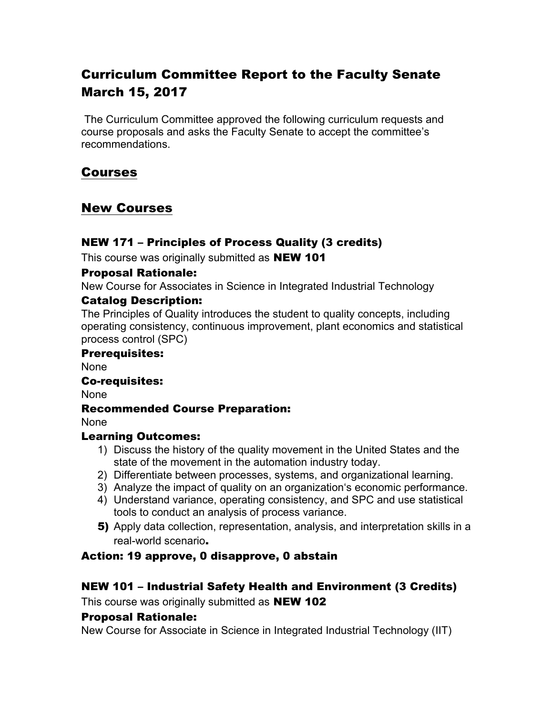# Curriculum Committee Report to the Faculty Senate March 15, 2017

The Curriculum Committee approved the following curriculum requests and course proposals and asks the Faculty Senate to accept the committee's recommendations.

#### Courses

### New Courses

#### NEW 171 – Principles of Process Quality (3 credits)

This course was originally submitted as **NEW 101** 

#### Proposal Rationale:

New Course for Associates in Science in Integrated Industrial Technology

#### Catalog Description:

The Principles of Quality introduces the student to quality concepts, including operating consistency, continuous improvement, plant economics and statistical process control (SPC)

#### Prerequisites:

None

#### Co-requisites:

None

#### Recommended Course Preparation:

None

#### Learning Outcomes:

- 1) Discuss the history of the quality movement in the United States and the state of the movement in the automation industry today.
- 2) Differentiate between processes, systems, and organizational learning.
- 3) Analyze the impact of quality on an organization's economic performance.
- 4) Understand variance, operating consistency, and SPC and use statistical tools to conduct an analysis of process variance.
- 5) Apply data collection, representation, analysis, and interpretation skills in a real-world scenario.

#### Action: 19 approve, 0 disapprove, 0 abstain

#### NEW 101 – Industrial Safety Health and Environment (3 Credits)

This course was originally submitted as **NEW 102** 

#### Proposal Rationale:

New Course for Associate in Science in Integrated Industrial Technology (IIT)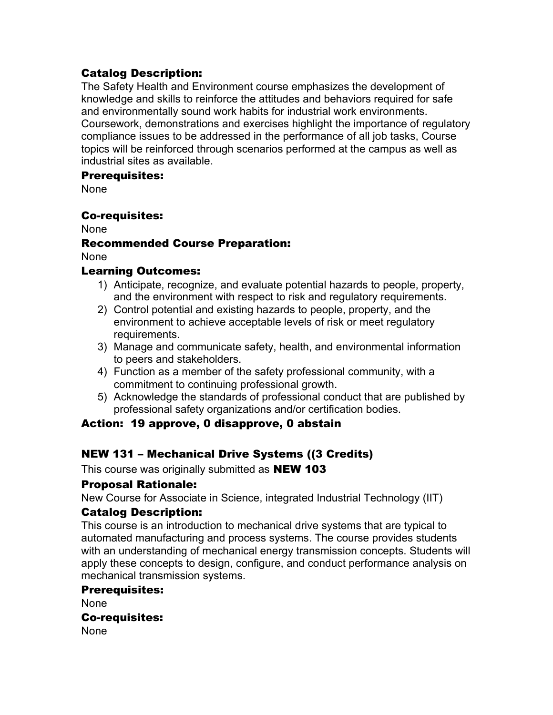#### Catalog Description:

The Safety Health and Environment course emphasizes the development of knowledge and skills to reinforce the attitudes and behaviors required for safe and environmentally sound work habits for industrial work environments. Coursework, demonstrations and exercises highlight the importance of regulatory compliance issues to be addressed in the performance of all job tasks, Course topics will be reinforced through scenarios performed at the campus as well as industrial sites as available.

#### Prerequisites:

None

#### Co-requisites:

None

#### Recommended Course Preparation:

None

#### Learning Outcomes:

- 1) Anticipate, recognize, and evaluate potential hazards to people, property, and the environment with respect to risk and regulatory requirements.
- 2) Control potential and existing hazards to people, property, and the environment to achieve acceptable levels of risk or meet regulatory requirements.
- 3) Manage and communicate safety, health, and environmental information to peers and stakeholders.
- 4) Function as a member of the safety professional community, with a commitment to continuing professional growth.
- 5) Acknowledge the standards of professional conduct that are published by professional safety organizations and/or certification bodies.

#### Action: 19 approve, 0 disapprove, 0 abstain

#### NEW 131 – Mechanical Drive Systems ((3 Credits)

This course was originally submitted as **NEW 103** 

#### Proposal Rationale:

New Course for Associate in Science, integrated Industrial Technology (IIT)

#### Catalog Description:

This course is an introduction to mechanical drive systems that are typical to automated manufacturing and process systems. The course provides students with an understanding of mechanical energy transmission concepts. Students will apply these concepts to design, configure, and conduct performance analysis on mechanical transmission systems.

#### Prerequisites:

None

#### Co-requisites:

None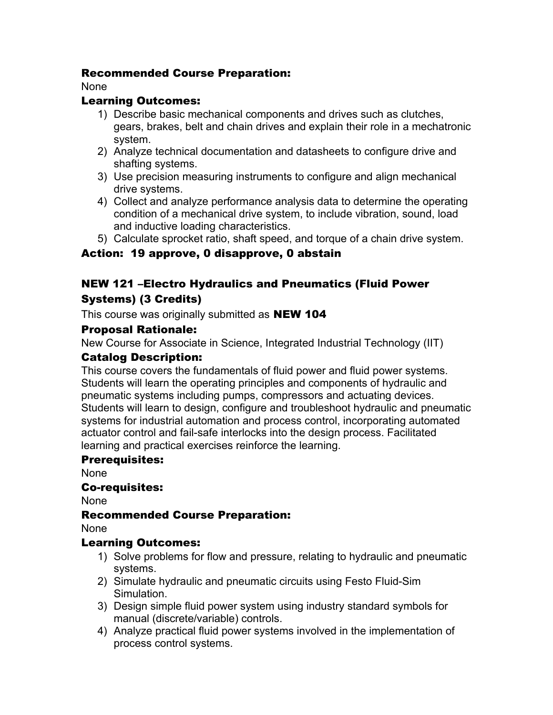#### Recommended Course Preparation:

None

#### Learning Outcomes:

- 1) Describe basic mechanical components and drives such as clutches, gears, brakes, belt and chain drives and explain their role in a mechatronic system.
- 2) Analyze technical documentation and datasheets to configure drive and shafting systems.
- 3) Use precision measuring instruments to configure and align mechanical drive systems.
- 4) Collect and analyze performance analysis data to determine the operating condition of a mechanical drive system, to include vibration, sound, load and inductive loading characteristics.
- 5) Calculate sprocket ratio, shaft speed, and torque of a chain drive system.

#### Action: 19 approve, 0 disapprove, 0 abstain

#### NEW 121 –Electro Hydraulics and Pneumatics (Fluid Power Systems) (3 Credits)

This course was originally submitted as **NEW 104** 

#### Proposal Rationale:

New Course for Associate in Science, Integrated Industrial Technology (IIT)

#### Catalog Description:

This course covers the fundamentals of fluid power and fluid power systems. Students will learn the operating principles and components of hydraulic and pneumatic systems including pumps, compressors and actuating devices. Students will learn to design, configure and troubleshoot hydraulic and pneumatic systems for industrial automation and process control, incorporating automated actuator control and fail-safe interlocks into the design process. Facilitated learning and practical exercises reinforce the learning.

#### Prerequisites:

None

#### Co-requisites:

None

#### Recommended Course Preparation:

None

#### Learning Outcomes:

- 1) Solve problems for flow and pressure, relating to hydraulic and pneumatic systems.
- 2) Simulate hydraulic and pneumatic circuits using Festo Fluid-Sim Simulation.
- 3) Design simple fluid power system using industry standard symbols for manual (discrete/variable) controls.
- 4) Analyze practical fluid power systems involved in the implementation of process control systems.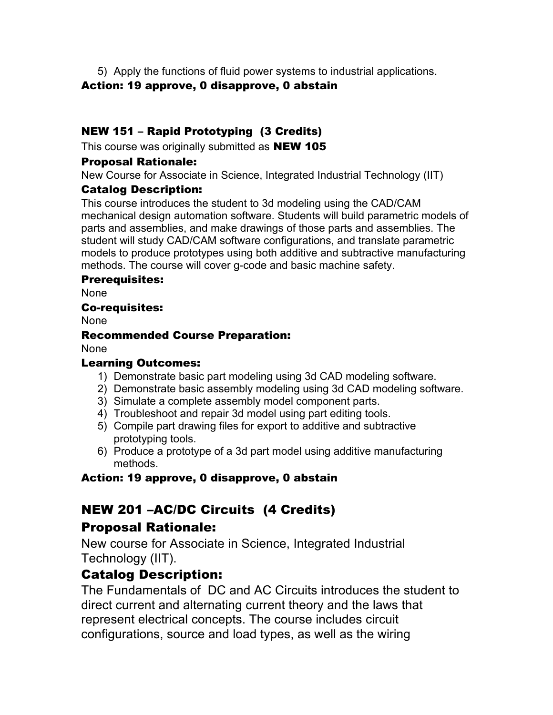5) Apply the functions of fluid power systems to industrial applications.

#### Action: 19 approve, 0 disapprove, 0 abstain

#### NEW 151 – Rapid Prototyping (3 Credits)

This course was originally submitted as **NEW 105** 

#### Proposal Rationale:

New Course for Associate in Science, Integrated Industrial Technology (IIT)

#### Catalog Description:

This course introduces the student to 3d modeling using the CAD/CAM mechanical design automation software. Students will build parametric models of parts and assemblies, and make drawings of those parts and assemblies. The student will study CAD/CAM software configurations, and translate parametric models to produce prototypes using both additive and subtractive manufacturing methods. The course will cover g-code and basic machine safety.

#### Prerequisites:

None

#### Co-requisites:

None

#### Recommended Course Preparation:

None

#### Learning Outcomes:

- 1) Demonstrate basic part modeling using 3d CAD modeling software.
- 2) Demonstrate basic assembly modeling using 3d CAD modeling software.
- 3) Simulate a complete assembly model component parts.
- 4) Troubleshoot and repair 3d model using part editing tools.
- 5) Compile part drawing files for export to additive and subtractive prototyping tools.
- 6) Produce a prototype of a 3d part model using additive manufacturing methods.

#### Action: 19 approve, 0 disapprove, 0 abstain

#### NEW 201 –AC/DC Circuits (4 Credits)

#### Proposal Rationale:

New course for Associate in Science, Integrated Industrial Technology (IIT).

#### Catalog Description:

The Fundamentals of DC and AC Circuits introduces the student to direct current and alternating current theory and the laws that represent electrical concepts. The course includes circuit configurations, source and load types, as well as the wiring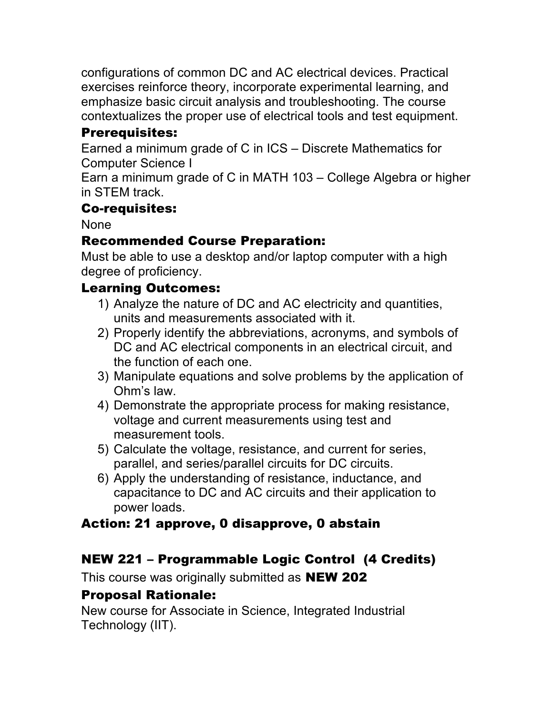configurations of common DC and AC electrical devices. Practical exercises reinforce theory, incorporate experimental learning, and emphasize basic circuit analysis and troubleshooting. The course contextualizes the proper use of electrical tools and test equipment.

# Prerequisites:

Earned a minimum grade of C in ICS – Discrete Mathematics for Computer Science I

Earn a minimum grade of C in MATH 103 – College Algebra or higher in STEM track.

#### Co-requisites:

None

# Recommended Course Preparation:

Must be able to use a desktop and/or laptop computer with a high degree of proficiency.

# Learning Outcomes:

- 1) Analyze the nature of DC and AC electricity and quantities, units and measurements associated with it.
- 2) Properly identify the abbreviations, acronyms, and symbols of DC and AC electrical components in an electrical circuit, and the function of each one.
- 3) Manipulate equations and solve problems by the application of Ohm's law.
- 4) Demonstrate the appropriate process for making resistance, voltage and current measurements using test and measurement tools.
- 5) Calculate the voltage, resistance, and current for series, parallel, and series/parallel circuits for DC circuits.
- 6) Apply the understanding of resistance, inductance, and capacitance to DC and AC circuits and their application to power loads.

# Action: 21 approve, 0 disapprove, 0 abstain

# NEW 221 – Programmable Logic Control (4 Credits)

This course was originally submitted as **NEW 202** 

# Proposal Rationale:

New course for Associate in Science, Integrated Industrial Technology (IIT).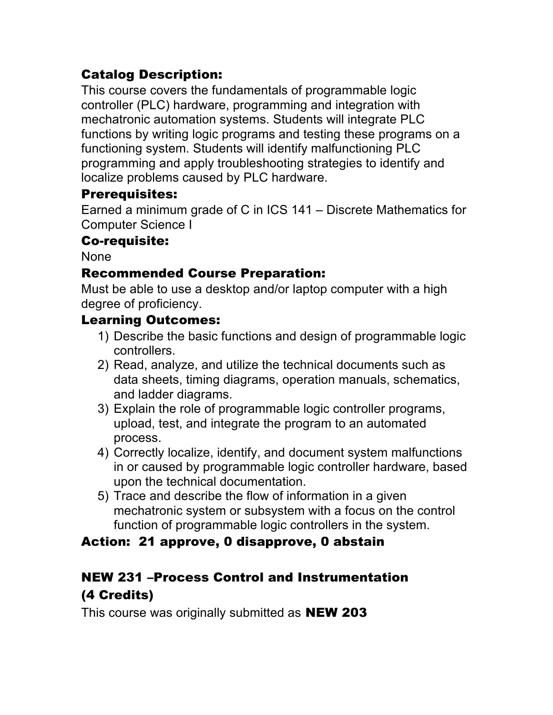# Catalog Description:

This course covers the fundamentals of programmable logic controller (PLC) hardware, programming and integration with mechatronic automation systems. Students will integrate PLC functions by writing logic programs and testing these programs on a functioning system. Students will identify malfunctioning PLC programming and apply troubleshooting strategies to identify and localize problems caused by PLC hardware.

### Prerequisites:

Earned a minimum grade of C in ICS 141 – Discrete Mathematics for Computer Science I

### Co-requisite:

None

### Recommended Course Preparation:

Must be able to use a desktop and/or laptop computer with a high degree of proficiency.

### Learning Outcomes:

- 1) Describe the basic functions and design of programmable logic controllers.
- 2) Read, analyze, and utilize the technical documents such as data sheets, timing diagrams, operation manuals, schematics, and ladder diagrams.
- 3) Explain the role of programmable logic controller programs, upload, test, and integrate the program to an automated process.
- 4) Correctly localize, identify, and document system malfunctions in or caused by programmable logic controller hardware, based upon the technical documentation.
- 5) Trace and describe the flow of information in a given mechatronic system or subsystem with a focus on the control function of programmable logic controllers in the system.

### Action: 21 approve, 0 disapprove, 0 abstain

# NEW 231 –Process Control and Instrumentation (4 Credits)

This course was originally submitted as **NEW 203**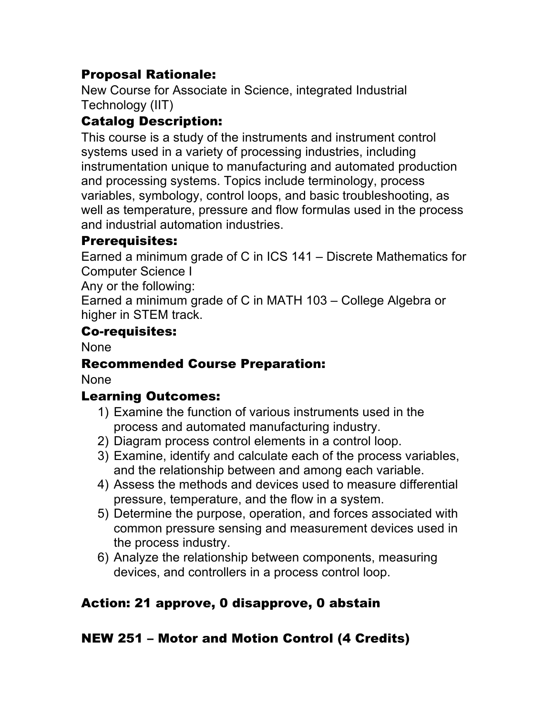# Proposal Rationale:

New Course for Associate in Science, integrated Industrial Technology (IIT)

# Catalog Description:

This course is a study of the instruments and instrument control systems used in a variety of processing industries, including instrumentation unique to manufacturing and automated production and processing systems. Topics include terminology, process variables, symbology, control loops, and basic troubleshooting, as well as temperature, pressure and flow formulas used in the process and industrial automation industries.

### Prerequisites:

Earned a minimum grade of C in ICS 141 – Discrete Mathematics for Computer Science I

Any or the following:

Earned a minimum grade of C in MATH 103 – College Algebra or higher in STEM track.

### Co-requisites:

None

# Recommended Course Preparation:

None

# Learning Outcomes:

- 1) Examine the function of various instruments used in the process and automated manufacturing industry.
- 2) Diagram process control elements in a control loop.
- 3) Examine, identify and calculate each of the process variables, and the relationship between and among each variable.
- 4) Assess the methods and devices used to measure differential pressure, temperature, and the flow in a system.
- 5) Determine the purpose, operation, and forces associated with common pressure sensing and measurement devices used in the process industry.
- 6) Analyze the relationship between components, measuring devices, and controllers in a process control loop.

# Action: 21 approve, 0 disapprove, 0 abstain

# NEW 251 – Motor and Motion Control (4 Credits)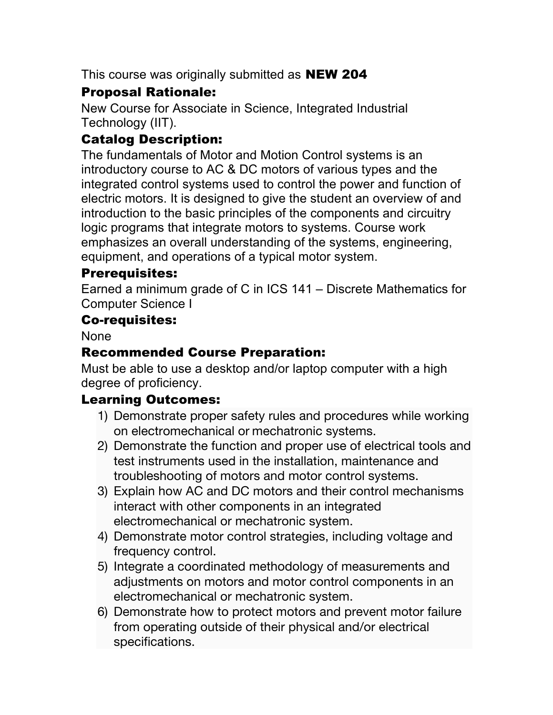This course was originally submitted as **NEW 204** 

# Proposal Rationale:

New Course for Associate in Science, Integrated Industrial Technology (IIT).

# Catalog Description:

The fundamentals of Motor and Motion Control systems is an introductory course to AC & DC motors of various types and the integrated control systems used to control the power and function of electric motors. It is designed to give the student an overview of and introduction to the basic principles of the components and circuitry logic programs that integrate motors to systems. Course work emphasizes an overall understanding of the systems, engineering, equipment, and operations of a typical motor system.

### Prerequisites:

Earned a minimum grade of C in ICS 141 – Discrete Mathematics for Computer Science I

### Co-requisites:

None

# Recommended Course Preparation:

Must be able to use a desktop and/or laptop computer with a high degree of proficiency.

### Learning Outcomes:

- 1) Demonstrate proper safety rules and procedures while working on electromechanical or mechatronic systems.
- 2) Demonstrate the function and proper use of electrical tools and test instruments used in the installation, maintenance and troubleshooting of motors and motor control systems.
- 3) Explain how AC and DC motors and their control mechanisms interact with other components in an integrated electromechanical or mechatronic system.
- 4) Demonstrate motor control strategies, including voltage and frequency control.
- 5) Integrate a coordinated methodology of measurements and adjustments on motors and motor control components in an electromechanical or mechatronic system.
- 6) Demonstrate how to protect motors and prevent motor failure from operating outside of their physical and/or electrical specifications.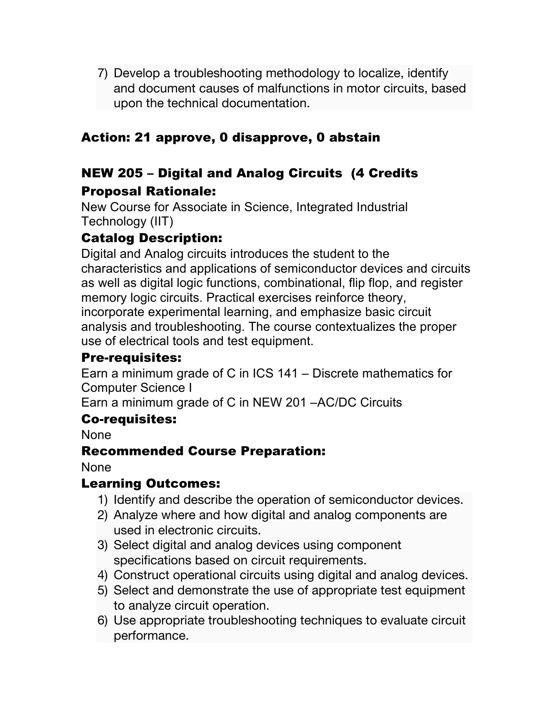7) Develop a troubleshooting methodology to localize, identify and document causes of malfunctions in motor circuits, based upon the technical documentation.

# Action: 21 approve, 0 disapprove, 0 abstain

### NEW 205 – Digital and Analog Circuits (4 Credits Proposal Rationale:

New Course for Associate in Science, Integrated Industrial Technology (IIT)

# Catalog Description:

Digital and Analog circuits introduces the student to the characteristics and applications of semiconductor devices and circuits as well as digital logic functions, combinational, flip flop, and register memory logic circuits. Practical exercises reinforce theory, incorporate experimental learning, and emphasize basic circuit analysis and troubleshooting. The course contextualizes the proper use of electrical tools and test equipment.

#### Pre-requisites:

Earn a minimum grade of C in ICS 141 – Discrete mathematics for Computer Science I

Earn a minimum grade of C in NEW 201 –AC/DC Circuits

### Co-requisites:

None

### Recommended Course Preparation:

None

#### Learning Outcomes:

- 1) Identify and describe the operation of semiconductor devices.
- 2) Analyze where and how digital and analog components are used in electronic circuits.
- 3) Select digital and analog devices using component specifications based on circuit requirements.
- 4) Construct operational circuits using digital and analog devices.
- 5) Select and demonstrate the use of appropriate test equipment to analyze circuit operation.
- 6) Use appropriate troubleshooting techniques to evaluate circuit performance.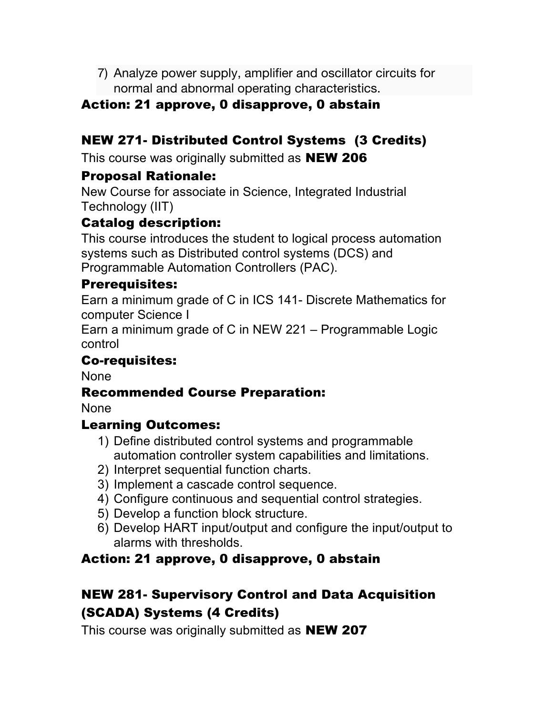7) Analyze power supply, amplifier and oscillator circuits for normal and abnormal operating characteristics.

### Action: 21 approve, 0 disapprove, 0 abstain

# NEW 271- Distributed Control Systems (3 Credits)

This course was originally submitted as **NEW 206** 

### Proposal Rationale:

New Course for associate in Science, Integrated Industrial Technology (IIT)

### Catalog description:

This course introduces the student to logical process automation systems such as Distributed control systems (DCS) and Programmable Automation Controllers (PAC).

### Prerequisites:

Earn a minimum grade of C in ICS 141- Discrete Mathematics for computer Science I

Earn a minimum grade of C in NEW 221 – Programmable Logic control

### Co-requisites:

None

### Recommended Course Preparation:

None

### Learning Outcomes:

- 1) Define distributed control systems and programmable automation controller system capabilities and limitations.
- 2) Interpret sequential function charts.
- 3) Implement a cascade control sequence.
- 4) Configure continuous and sequential control strategies.
- 5) Develop a function block structure.
- 6) Develop HART input/output and configure the input/output to alarms with thresholds.

### Action: 21 approve, 0 disapprove, 0 abstain

# NEW 281- Supervisory Control and Data Acquisition (SCADA) Systems (4 Credits)

This course was originally submitted as **NEW 207**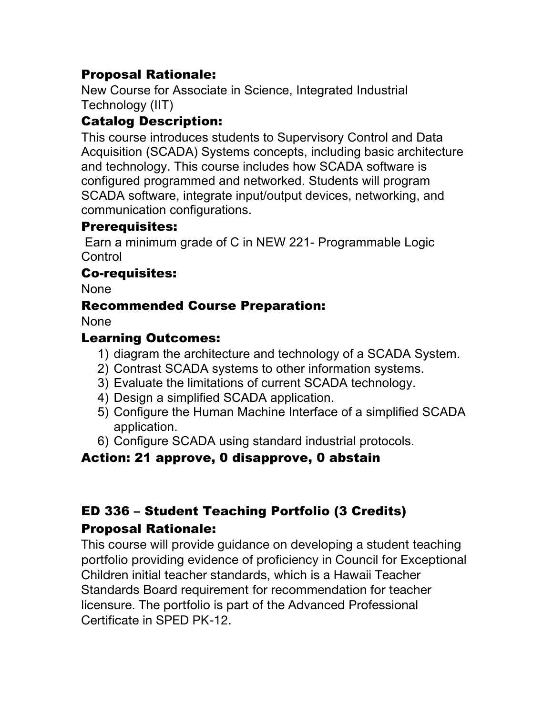## Proposal Rationale:

New Course for Associate in Science, Integrated Industrial Technology (IIT)

# Catalog Description:

This course introduces students to Supervisory Control and Data Acquisition (SCADA) Systems concepts, including basic architecture and technology. This course includes how SCADA software is configured programmed and networked. Students will program SCADA software, integrate input/output devices, networking, and communication configurations.

### Prerequisites:

Earn a minimum grade of C in NEW 221- Programmable Logic **Control** 

### Co-requisites:

None

# Recommended Course Preparation:

None

### Learning Outcomes:

- 1) diagram the architecture and technology of a SCADA System.
- 2) Contrast SCADA systems to other information systems.
- 3) Evaluate the limitations of current SCADA technology.
- 4) Design a simplified SCADA application.
- 5) Configure the Human Machine Interface of a simplified SCADA application.
- 6) Configure SCADA using standard industrial protocols.

# Action: 21 approve, 0 disapprove, 0 abstain

# ED 336 – Student Teaching Portfolio (3 Credits)

### Proposal Rationale:

This course will provide guidance on developing a student teaching portfolio providing evidence of proficiency in Council for Exceptional Children initial teacher standards, which is a Hawaii Teacher Standards Board requirement for recommendation for teacher licensure. The portfolio is part of the Advanced Professional Certificate in SPED PK-12.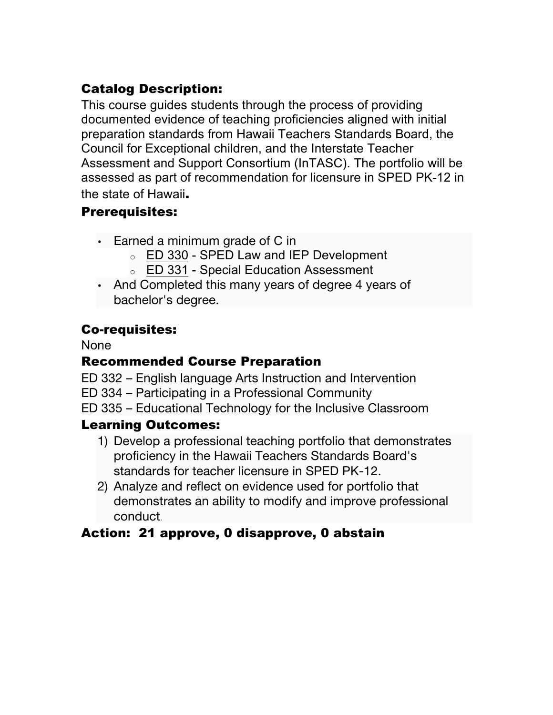# Catalog Description:

This course guides students through the process of providing documented evidence of teaching proficiencies aligned with initial preparation standards from Hawaii Teachers Standards Board, the Council for Exceptional children, and the Interstate Teacher Assessment and Support Consortium (InTASC). The portfolio will be assessed as part of recommendation for licensure in SPED PK-12 in the state of Hawaii.

### Prerequisites:

- Earned a minimum grade of C in
	- o ED 330 SPED Law and IEP Development
	- o ED 331 Special Education Assessment
- And Completed this many years of degree 4 years of bachelor's degree.

### Co-requisites:

None

## Recommended Course Preparation

- ED 332 English language Arts Instruction and Intervention
- ED 334 Participating in a Professional Community
- ED 335 Educational Technology for the Inclusive Classroom

### Learning Outcomes:

- 1) Develop a professional teaching portfolio that demonstrates proficiency in the Hawaii Teachers Standards Board's standards for teacher licensure in SPED PK-12.
- 2) Analyze and reflect on evidence used for portfolio that demonstrates an ability to modify and improve professional conduct.

# Action: 21 approve, 0 disapprove, 0 abstain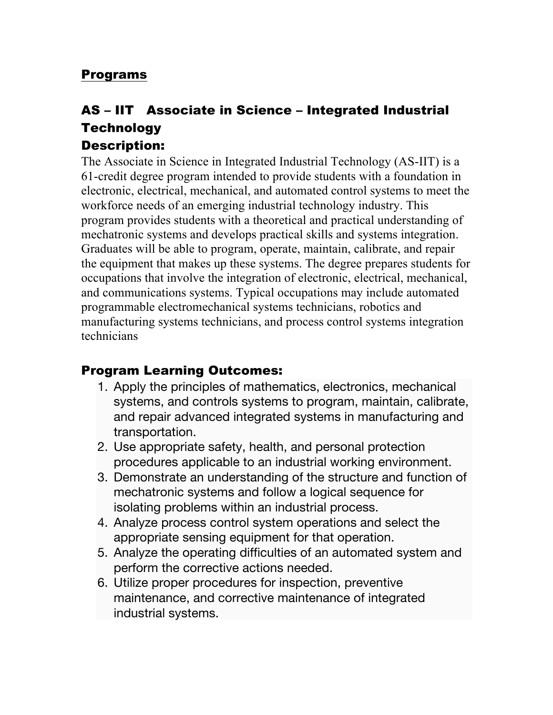#### Programs

# AS – IIT Associate in Science – Integrated Industrial **Technology**

### Description:

The Associate in Science in Integrated Industrial Technology (AS-IIT) is a 61-credit degree program intended to provide students with a foundation in electronic, electrical, mechanical, and automated control systems to meet the workforce needs of an emerging industrial technology industry. This program provides students with a theoretical and practical understanding of mechatronic systems and develops practical skills and systems integration. Graduates will be able to program, operate, maintain, calibrate, and repair the equipment that makes up these systems. The degree prepares students for occupations that involve the integration of electronic, electrical, mechanical, and communications systems. Typical occupations may include automated programmable electromechanical systems technicians, robotics and manufacturing systems technicians, and process control systems integration technicians

#### Program Learning Outcomes:

- 1. Apply the principles of mathematics, electronics, mechanical systems, and controls systems to program, maintain, calibrate, and repair advanced integrated systems in manufacturing and transportation.
- 2. Use appropriate safety, health, and personal protection procedures applicable to an industrial working environment.
- 3. Demonstrate an understanding of the structure and function of mechatronic systems and follow a logical sequence for isolating problems within an industrial process.
- 4. Analyze process control system operations and select the appropriate sensing equipment for that operation.
- 5. Analyze the operating difficulties of an automated system and perform the corrective actions needed.
- 6. Utilize proper procedures for inspection, preventive maintenance, and corrective maintenance of integrated industrial systems.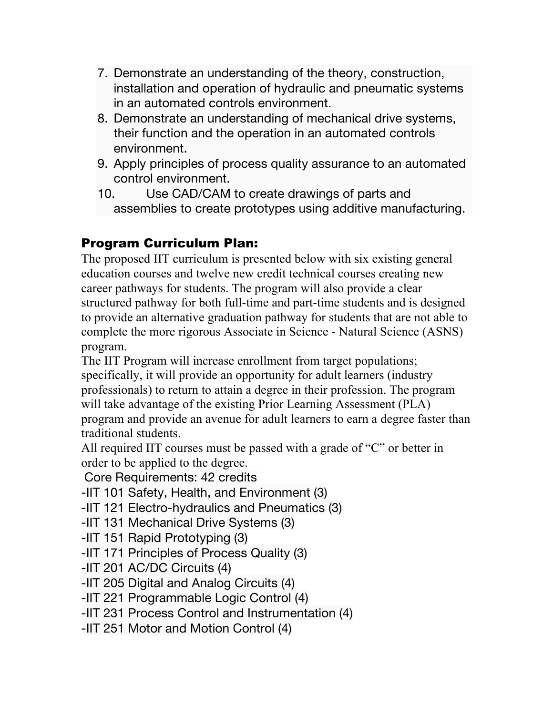- 7. Demonstrate an understanding of the theory, construction, installation and operation of hydraulic and pneumatic systems in an automated controls environment.
- 8. Demonstrate an understanding of mechanical drive systems, their function and the operation in an automated controls environment.
- 9. Apply principles of process quality assurance to an automated control environment.
- 10. Use CAD/CAM to create drawings of parts and assemblies to create prototypes using additive manufacturing.

# Program Curriculum Plan:

The proposed IIT curriculum is presented below with six existing general education courses and twelve new credit technical courses creating new career pathways for students. The program will also provide a clear structured pathway for both full-time and part-time students and is designed to provide an alternative graduation pathway for students that are not able to complete the more rigorous Associate in Science - Natural Science (ASNS) program.

The IIT Program will increase enrollment from target populations; specifically, it will provide an opportunity for adult learners (industry professionals) to return to attain a degree in their profession. The program will take advantage of the existing Prior Learning Assessment (PLA) program and provide an avenue for adult learners to earn a degree faster than traditional students.

All required IIT courses must be passed with a grade of "C" or better in order to be applied to the degree.

Core Requirements: 42 credits

- -IIT 101 Safety, Health, and Environment (3)
- -IIT 121 Electro-hydraulics and Pneumatics (3)
- -IIT 131 Mechanical Drive Systems (3)
- -IIT 151 Rapid Prototyping (3)
- -IIT 171 Principles of Process Quality (3)
- -IIT 201 AC/DC Circuits (4)
- -IIT 205 Digital and Analog Circuits (4)
- -IIT 221 Programmable Logic Control (4)
- -IIT 231 Process Control and Instrumentation (4)
- -IIT 251 Motor and Motion Control (4)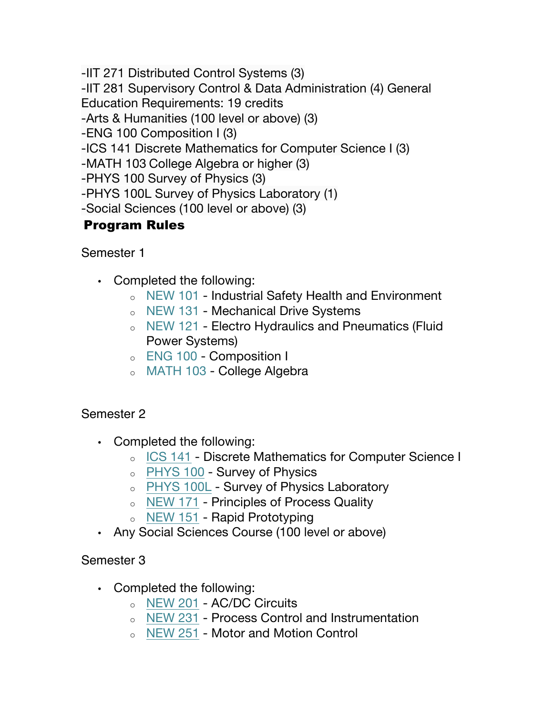-IIT 271 Distributed Control Systems (3)

-IIT 281 Supervisory Control & Data Administration (4) General

Education Requirements: 19 credits

-Arts & Humanities (100 level or above) (3)

-ENG 100 Composition I (3)

-ICS 141 Discrete Mathematics for Computer Science I (3)

-MATH 103 College Algebra or higher (3)

-PHYS 100 Survey of Physics (3)

-PHYS 100L Survey of Physics Laboratory (1)

-Social Sciences (100 level or above) (3)

# Program Rules

Semester 1

- Completed the following:
	- o NEW 101 Industrial Safety Health and Environment
	- o NEW 131 Mechanical Drive Systems
	- o NEW 121 Electro Hydraulics and Pneumatics (Fluid Power Systems)
	- o ENG 100 Composition I
	- o MATH 103 College Algebra

#### Semester 2

- Completed the following:
	- o ICS 141 Discrete Mathematics for Computer Science I
	- o PHYS 100 Survey of Physics
	- o PHYS 100L Survey of Physics Laboratory
	- o NEW 171 Principles of Process Quality
	- o NEW 151 Rapid Prototyping
- Any Social Sciences Course (100 level or above)

#### Semester 3

- Completed the following:
	- o NEW 201 AC/DC Circuits
	- o NEW 231 Process Control and Instrumentation
	- o NEW 251 Motor and Motion Control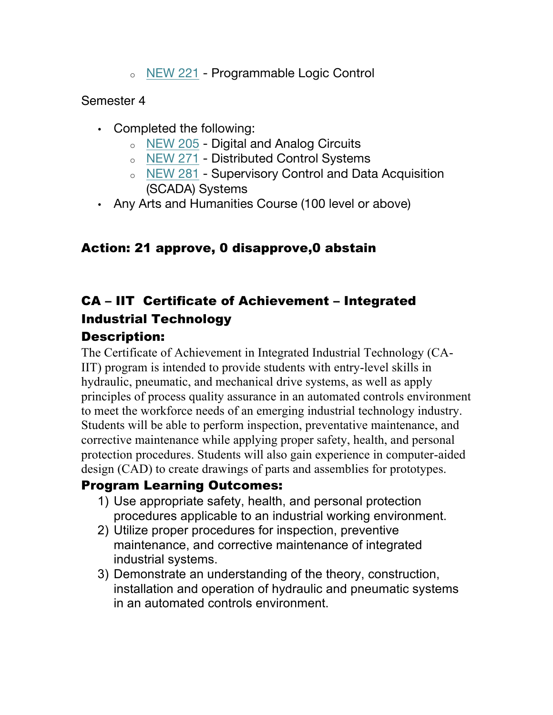o NEW 221 - Programmable Logic Control

#### Semester 4

- Completed the following:
	- o NEW 205 Digital and Analog Circuits
	- o NEW 271 Distributed Control Systems
	- o NEW 281 Supervisory Control and Data Acquisition (SCADA) Systems
- Any Arts and Humanities Course (100 level or above)

# Action: 21 approve, 0 disapprove,0 abstain

# CA – IIT Certificate of Achievement – Integrated Industrial Technology

### Description:

The Certificate of Achievement in Integrated Industrial Technology (CA-IIT) program is intended to provide students with entry-level skills in hydraulic, pneumatic, and mechanical drive systems, as well as apply principles of process quality assurance in an automated controls environment to meet the workforce needs of an emerging industrial technology industry. Students will be able to perform inspection, preventative maintenance, and corrective maintenance while applying proper safety, health, and personal protection procedures. Students will also gain experience in computer-aided design (CAD) to create drawings of parts and assemblies for prototypes.

### Program Learning Outcomes:

- 1) Use appropriate safety, health, and personal protection procedures applicable to an industrial working environment.
- 2) Utilize proper procedures for inspection, preventive maintenance, and corrective maintenance of integrated industrial systems.
- 3) Demonstrate an understanding of the theory, construction, installation and operation of hydraulic and pneumatic systems in an automated controls environment.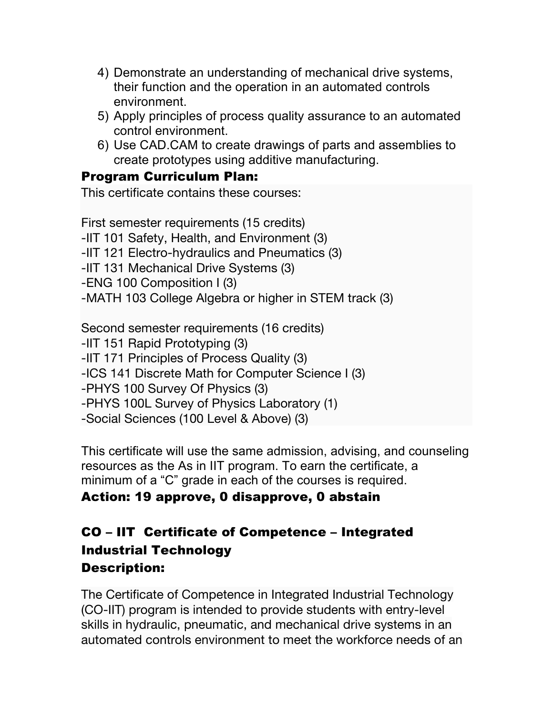- 4) Demonstrate an understanding of mechanical drive systems, their function and the operation in an automated controls environment.
- 5) Apply principles of process quality assurance to an automated control environment.
- 6) Use CAD.CAM to create drawings of parts and assemblies to create prototypes using additive manufacturing.

#### Program Curriculum Plan:

This certificate contains these courses:

First semester requirements (15 credits) -IIT 101 Safety, Health, and Environment (3) -IIT 121 Electro-hydraulics and Pneumatics (3) -IIT 131 Mechanical Drive Systems (3) -ENG 100 Composition I (3) -MATH 103 College Algebra or higher in STEM track (3) Second semester requirements (16 credits) -IIT 151 Rapid Prototyping (3) -IIT 171 Principles of Process Quality (3) -ICS 141 Discrete Math for Computer Science I (3) -PHYS 100 Survey Of Physics (3) -PHYS 100L Survey of Physics Laboratory (1) -Social Sciences (100 Level & Above) (3)

This certificate will use the same admission, advising, and counseling resources as the As in IIT program. To earn the certificate, a minimum of a "C" grade in each of the courses is required.

### Action: 19 approve, 0 disapprove, 0 abstain

# CO – IIT Certificate of Competence – Integrated Industrial Technology Description:

The Certificate of Competence in Integrated Industrial Technology (CO-IIT) program is intended to provide students with entry-level skills in hydraulic, pneumatic, and mechanical drive systems in an automated controls environment to meet the workforce needs of an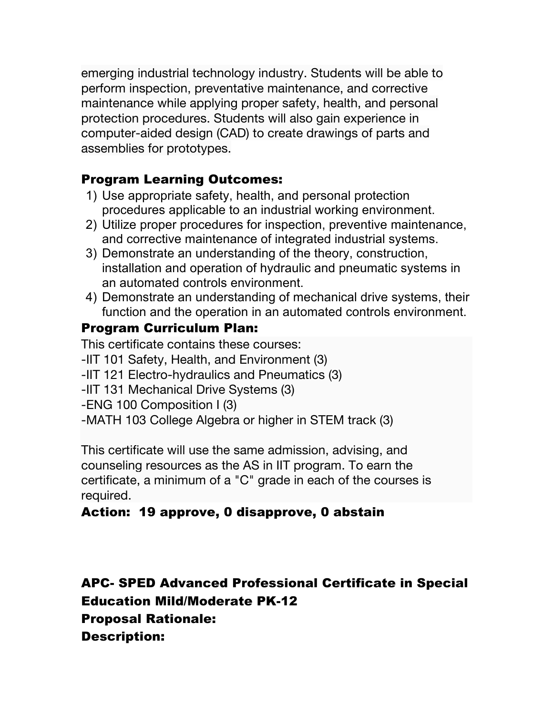emerging industrial technology industry. Students will be able to perform inspection, preventative maintenance, and corrective maintenance while applying proper safety, health, and personal protection procedures. Students will also gain experience in computer-aided design (CAD) to create drawings of parts and assemblies for prototypes.

### Program Learning Outcomes:

- 1) Use appropriate safety, health, and personal protection procedures applicable to an industrial working environment.
- 2) Utilize proper procedures for inspection, preventive maintenance, and corrective maintenance of integrated industrial systems.
- 3) Demonstrate an understanding of the theory, construction, installation and operation of hydraulic and pneumatic systems in an automated controls environment.
- 4) Demonstrate an understanding of mechanical drive systems, their function and the operation in an automated controls environment.

### Program Curriculum Plan:

This certificate contains these courses:

- -IIT 101 Safety, Health, and Environment (3)
- -IIT 121 Electro-hydraulics and Pneumatics (3)
- -IIT 131 Mechanical Drive Systems (3)
- -ENG 100 Composition I (3)
- -MATH 103 College Algebra or higher in STEM track (3)

This certificate will use the same admission, advising, and counseling resources as the AS in IIT program. To earn the certificate, a minimum of a "C" grade in each of the courses is required.

# Action: 19 approve, 0 disapprove, 0 abstain

APC- SPED Advanced Professional Certificate in Special Education Mild/Moderate PK-12 Proposal Rationale: Description: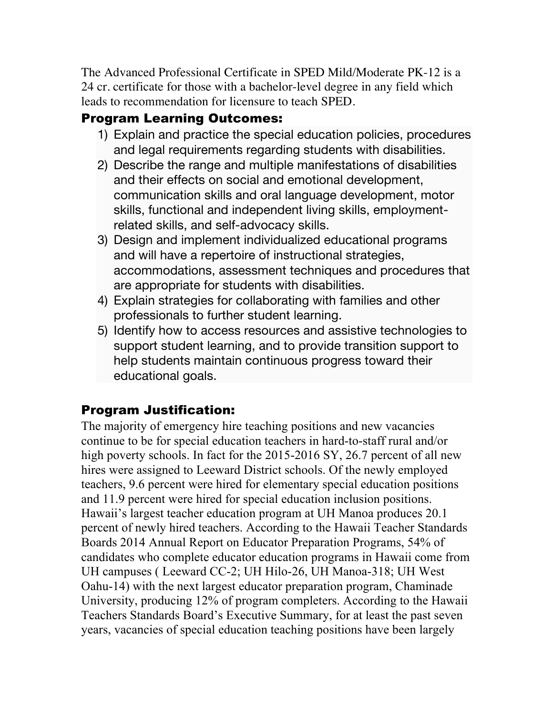The Advanced Professional Certificate in SPED Mild/Moderate PK-12 is a 24 cr. certificate for those with a bachelor-level degree in any field which leads to recommendation for licensure to teach SPED.

# Program Learning Outcomes:

- 1) Explain and practice the special education policies, procedures and legal requirements regarding students with disabilities.
- 2) Describe the range and multiple manifestations of disabilities and their effects on social and emotional development, communication skills and oral language development, motor skills, functional and independent living skills, employmentrelated skills, and self-advocacy skills.
- 3) Design and implement individualized educational programs and will have a repertoire of instructional strategies, accommodations, assessment techniques and procedures that are appropriate for students with disabilities.
- 4) Explain strategies for collaborating with families and other professionals to further student learning.
- 5) Identify how to access resources and assistive technologies to support student learning, and to provide transition support to help students maintain continuous progress toward their educational goals.

### Program Justification:

The majority of emergency hire teaching positions and new vacancies continue to be for special education teachers in hard-to-staff rural and/or high poverty schools. In fact for the 2015-2016 SY, 26.7 percent of all new hires were assigned to Leeward District schools. Of the newly employed teachers, 9.6 percent were hired for elementary special education positions and 11.9 percent were hired for special education inclusion positions. Hawaii's largest teacher education program at UH Manoa produces 20.1 percent of newly hired teachers. According to the Hawaii Teacher Standards Boards 2014 Annual Report on Educator Preparation Programs, 54% of candidates who complete educator education programs in Hawaii come from UH campuses ( Leeward CC-2; UH Hilo-26, UH Manoa-318; UH West Oahu-14) with the next largest educator preparation program, Chaminade University, producing 12% of program completers. According to the Hawaii Teachers Standards Board's Executive Summary, for at least the past seven years, vacancies of special education teaching positions have been largely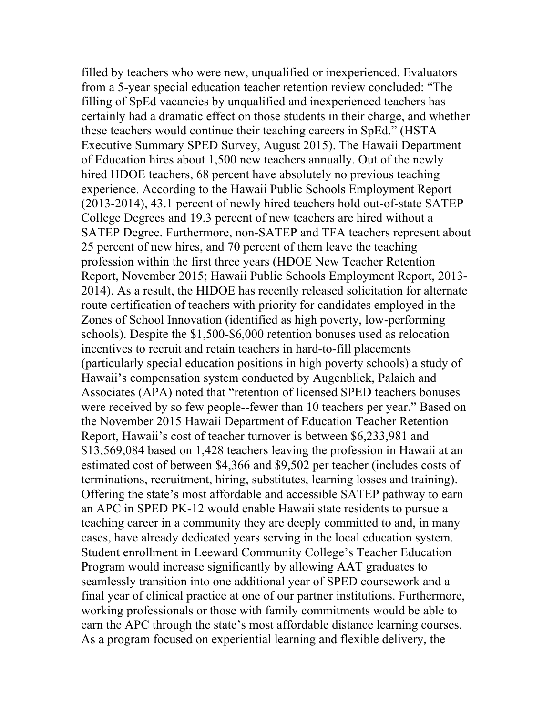filled by teachers who were new, unqualified or inexperienced. Evaluators from a 5-year special education teacher retention review concluded: "The filling of SpEd vacancies by unqualified and inexperienced teachers has certainly had a dramatic effect on those students in their charge, and whether these teachers would continue their teaching careers in SpEd." (HSTA Executive Summary SPED Survey, August 2015). The Hawaii Department of Education hires about 1,500 new teachers annually. Out of the newly hired HDOE teachers, 68 percent have absolutely no previous teaching experience. According to the Hawaii Public Schools Employment Report (2013-2014), 43.1 percent of newly hired teachers hold out-of-state SATEP College Degrees and 19.3 percent of new teachers are hired without a SATEP Degree. Furthermore, non-SATEP and TFA teachers represent about 25 percent of new hires, and 70 percent of them leave the teaching profession within the first three years (HDOE New Teacher Retention Report, November 2015; Hawaii Public Schools Employment Report, 2013- 2014). As a result, the HIDOE has recently released solicitation for alternate route certification of teachers with priority for candidates employed in the Zones of School Innovation (identified as high poverty, low-performing schools). Despite the \$1,500-\$6,000 retention bonuses used as relocation incentives to recruit and retain teachers in hard-to-fill placements (particularly special education positions in high poverty schools) a study of Hawaii's compensation system conducted by Augenblick, Palaich and Associates (APA) noted that "retention of licensed SPED teachers bonuses were received by so few people--fewer than 10 teachers per year." Based on the November 2015 Hawaii Department of Education Teacher Retention Report, Hawaii's cost of teacher turnover is between \$6,233,981 and \$13,569,084 based on 1,428 teachers leaving the profession in Hawaii at an estimated cost of between \$4,366 and \$9,502 per teacher (includes costs of terminations, recruitment, hiring, substitutes, learning losses and training). Offering the state's most affordable and accessible SATEP pathway to earn an APC in SPED PK-12 would enable Hawaii state residents to pursue a teaching career in a community they are deeply committed to and, in many cases, have already dedicated years serving in the local education system. Student enrollment in Leeward Community College's Teacher Education Program would increase significantly by allowing AAT graduates to seamlessly transition into one additional year of SPED coursework and a final year of clinical practice at one of our partner institutions. Furthermore, working professionals or those with family commitments would be able to earn the APC through the state's most affordable distance learning courses. As a program focused on experiential learning and flexible delivery, the